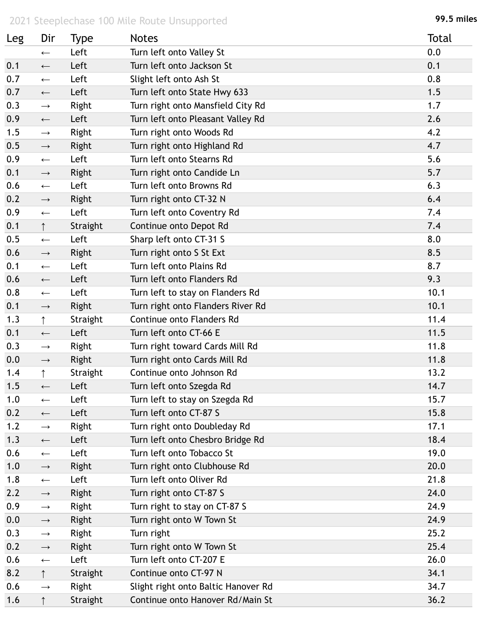## 2021 Steeplechase 100 Mile Route Unsupported **99.5 miles**

| Leg | Dir               | Type     | <b>Notes</b>                        | <b>Total</b> |
|-----|-------------------|----------|-------------------------------------|--------------|
|     | $\leftarrow$      | Left     | Turn left onto Valley St            | 0.0          |
| 0.1 | $\leftarrow$      | Left     | Turn left onto Jackson St           | 0.1          |
| 0.7 | $\leftarrow$      | Left     | Slight left onto Ash St             | 0.8          |
| 0.7 | $\longleftarrow$  | Left     | Turn left onto State Hwy 633        | 1.5          |
| 0.3 | $\longrightarrow$ | Right    | Turn right onto Mansfield City Rd   | 1.7          |
| 0.9 | $\longleftarrow$  | Left     | Turn left onto Pleasant Valley Rd   | 2.6          |
| 1.5 | $\longrightarrow$ | Right    | Turn right onto Woods Rd            | 4.2          |
| 0.5 | $\longrightarrow$ | Right    | Turn right onto Highland Rd         | 4.7          |
| 0.9 | $\longleftarrow$  | Left     | Turn left onto Stearns Rd           | 5.6          |
| 0.1 | $\longrightarrow$ | Right    | Turn right onto Candide Ln          | 5.7          |
| 0.6 | $\leftarrow$      | Left     | Turn left onto Browns Rd            | 6.3          |
| 0.2 | $\longrightarrow$ | Right    | Turn right onto CT-32 N             | 6.4          |
| 0.9 | $\leftarrow$      | Left     | Turn left onto Coventry Rd          | 7.4          |
| 0.1 | $\uparrow$        | Straight | Continue onto Depot Rd              | 7.4          |
| 0.5 | $\leftarrow$      | Left     | Sharp left onto CT-31 S             | 8.0          |
| 0.6 | $\longrightarrow$ | Right    | Turn right onto S St Ext            | 8.5          |
| 0.1 | $\leftarrow$      | Left     | Turn left onto Plains Rd            | 8.7          |
| 0.6 | $\leftarrow$      | Left     | Turn left onto Flanders Rd          | 9.3          |
| 0.8 | $\leftarrow$      | Left     | Turn left to stay on Flanders Rd    | 10.1         |
| 0.1 | $\longrightarrow$ | Right    | Turn right onto Flanders River Rd   | 10.1         |
| 1.3 | $\uparrow$        | Straight | Continue onto Flanders Rd           | 11.4         |
| 0.1 | $\leftarrow$      | Left     | Turn left onto CT-66 E              | 11.5         |
| 0.3 | $\longrightarrow$ | Right    | Turn right toward Cards Mill Rd     | 11.8         |
| 0.0 | $\longrightarrow$ | Right    | Turn right onto Cards Mill Rd       | 11.8         |
| 1.4 | ↑                 | Straight | Continue onto Johnson Rd            | 13.2         |
| 1.5 | $\leftarrow$      | Left     | Turn left onto Szegda Rd            | 14.7         |
| 1.0 | $\leftarrow$      | Left     | Turn left to stay on Szegda Rd      | 15.7         |
| 0.2 | $\longleftarrow$  | Left     | Turn left onto CT-87 S              | 15.8         |
| 1.2 | $\longrightarrow$ | Right    | Turn right onto Doubleday Rd        | 17.1         |
| 1.3 | $\longleftarrow$  | Left     | Turn left onto Chesbro Bridge Rd    | 18.4         |
| 0.6 | $\leftarrow$      | Left     | Turn left onto Tobacco St           | 19.0         |
| 1.0 | $\longrightarrow$ | Right    | Turn right onto Clubhouse Rd        | 20.0         |
| 1.8 | $\leftarrow$      | Left     | Turn left onto Oliver Rd            | 21.8         |
| 2.2 | $\longrightarrow$ | Right    | Turn right onto CT-87 S             | 24.0         |
| 0.9 | $\longrightarrow$ | Right    | Turn right to stay on CT-87 S       | 24.9         |
| 0.0 | $\longrightarrow$ | Right    | Turn right onto W Town St           | 24.9         |
| 0.3 | $\longrightarrow$ | Right    | Turn right                          | 25.2         |
| 0.2 | $\rightarrow$     | Right    | Turn right onto W Town St           | 25.4         |
| 0.6 | $\longleftarrow$  | Left     | Turn left onto CT-207 E             | 26.0         |
| 8.2 | $\uparrow$        | Straight | Continue onto CT-97 N               | 34.1         |
| 0.6 | $\longrightarrow$ | Right    | Slight right onto Baltic Hanover Rd | 34.7         |
| 1.6 | $\uparrow$        | Straight | Continue onto Hanover Rd/Main St    | 36.2         |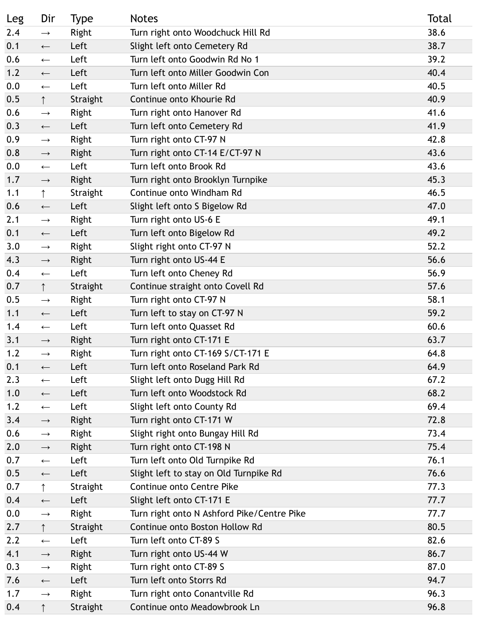| Leg | Dir               | <b>Type</b> | <b>Notes</b>                               | Total |
|-----|-------------------|-------------|--------------------------------------------|-------|
| 2.4 | $\rightarrow$     | Right       | Turn right onto Woodchuck Hill Rd          | 38.6  |
| 0.1 | $\longleftarrow$  | Left        | Slight left onto Cemetery Rd               | 38.7  |
| 0.6 | $\leftarrow$      | Left        | Turn left onto Goodwin Rd No 1             | 39.2  |
| 1.2 | $\longleftarrow$  | Left        | Turn left onto Miller Goodwin Con          | 40.4  |
| 0.0 | $\longleftarrow$  | Left        | Turn left onto Miller Rd                   | 40.5  |
| 0.5 | $\uparrow$        | Straight    | Continue onto Khourie Rd                   | 40.9  |
| 0.6 | $\longrightarrow$ | Right       | Turn right onto Hanover Rd                 | 41.6  |
| 0.3 | $\longleftarrow$  | Left        | Turn left onto Cemetery Rd                 | 41.9  |
| 0.9 | $\longrightarrow$ | Right       | Turn right onto CT-97 N                    | 42.8  |
| 0.8 | $\longrightarrow$ | Right       | Turn right onto CT-14 E/CT-97 N            | 43.6  |
| 0.0 | $\longleftarrow$  | Left        | Turn left onto Brook Rd                    | 43.6  |
| 1.7 | $\longrightarrow$ | Right       | Turn right onto Brooklyn Turnpike          | 45.3  |
| 1.1 | $\uparrow$        | Straight    | Continue onto Windham Rd                   | 46.5  |
| 0.6 | $\longleftarrow$  | Left        | Slight left onto S Bigelow Rd              | 47.0  |
| 2.1 | $\longrightarrow$ | Right       | Turn right onto US-6 E                     | 49.1  |
| 0.1 | $\longleftarrow$  | Left        | Turn left onto Bigelow Rd                  | 49.2  |
| 3.0 | $\longrightarrow$ | Right       | Slight right onto CT-97 N                  | 52.2  |
| 4.3 | $\longrightarrow$ | Right       | Turn right onto US-44 E                    | 56.6  |
| 0.4 | $\leftarrow$      | Left        | Turn left onto Cheney Rd                   | 56.9  |
| 0.7 | $\uparrow$        | Straight    | Continue straight onto Covell Rd           | 57.6  |
| 0.5 | $\longrightarrow$ | Right       | Turn right onto CT-97 N                    | 58.1  |
| 1.1 | $\longleftarrow$  | Left        | Turn left to stay on CT-97 N               | 59.2  |
| 1.4 | $\leftarrow$      | Left        | Turn left onto Quasset Rd                  | 60.6  |
| 3.1 | $\longrightarrow$ | Right       | Turn right onto CT-171 E                   | 63.7  |
| 1.2 | $\longrightarrow$ | Right       | Turn right onto CT-169 S/CT-171 E          | 64.8  |
| 0.1 | $\leftarrow$      | Left        | Turn left onto Roseland Park Rd            | 64.9  |
| 2.3 | $\leftarrow$      | Left        | Slight left onto Dugg Hill Rd              | 67.2  |
| 1.0 | $\longleftarrow$  | Left        | Turn left onto Woodstock Rd                | 68.2  |
| 1.2 | $\leftarrow$      | Left        | Slight left onto County Rd                 | 69.4  |
| 3.4 | $\longrightarrow$ | Right       | Turn right onto CT-171 W                   | 72.8  |
| 0.6 | $\longrightarrow$ | Right       | Slight right onto Bungay Hill Rd           | 73.4  |
| 2.0 | $\longrightarrow$ | Right       | Turn right onto CT-198 N                   | 75.4  |
| 0.7 | $\leftarrow$      | Left        | Turn left onto Old Turnpike Rd             | 76.1  |
| 0.5 | $\longleftarrow$  | Left        | Slight left to stay on Old Turnpike Rd     | 76.6  |
| 0.7 | ↑                 | Straight    | <b>Continue onto Centre Pike</b>           | 77.3  |
| 0.4 | $\longleftarrow$  | Left        | Slight left onto CT-171 E                  | 77.7  |
| 0.0 | $\rightarrow$     | Right       | Turn right onto N Ashford Pike/Centre Pike | 77.7  |
| 2.7 | $\uparrow$        | Straight    | Continue onto Boston Hollow Rd             | 80.5  |
| 2.2 | $\leftarrow$      | Left        | Turn left onto CT-89 S                     | 82.6  |
| 4.1 | $\longrightarrow$ | Right       | Turn right onto US-44 W                    | 86.7  |
| 0.3 | $\longrightarrow$ | Right       | Turn right onto CT-89 S                    | 87.0  |
| 7.6 | $\longleftarrow$  | Left        | Turn left onto Storrs Rd                   | 94.7  |
| 1.7 | $\longrightarrow$ | Right       | Turn right onto Conantville Rd             | 96.3  |
| 0.4 | $\uparrow$        | Straight    | Continue onto Meadowbrook Ln               | 96.8  |